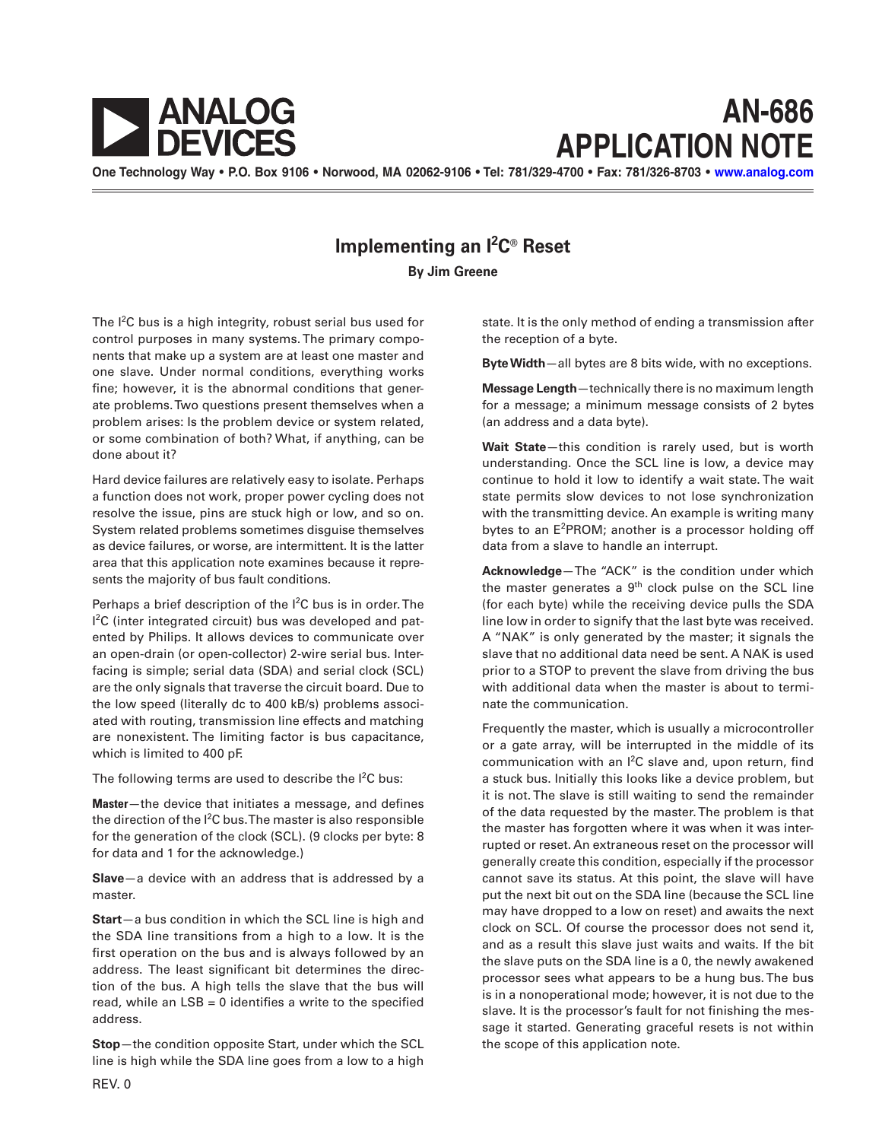

## **AN-686 APPLICATION NOTE**

**One Technology Way • P.O. Box 9106 • Norwood, MA 02062-9106 • Tel: 781/329-4700 • Fax: 781/326-8703 • [www.analog.com](http://www.analog.com)**

## **Implementing an I2 C® Reset**

**By Jim Greene**

The I<sup>2</sup>C bus is a high integrity, robust serial bus used for control purposes in many systems. The primary components that make up a system are at least one master and one slave. Under normal conditions, everything works fine; however, it is the abnormal conditions that generate problems. Two questions present themselves when a problem arises: Is the problem device or system related, or some combination of both? What, if anything, can be done about it?

Hard device failures are relatively easy to isolate. Perhaps a function does not work, proper power cycling does not resolve the issue, pins are stuck high or low, and so on. System related problems sometimes disguise themselves as device failures, or worse, are intermittent. It is the latter area that this application note examines because it represents the majority of bus fault conditions.

Perhaps a brief description of the  $1^2C$  bus is in order. The <sup>2</sup>C (inter integrated circuit) bus was developed and patented by Philips. It allows devices to communicate over an open-drain (or open-collector) 2-wire serial bus. Interfacing is simple; serial data (SDA) and serial clock (SCL) are the only signals that traverse the circuit board. Due to the low speed (literally dc to 400 kB/s) problems associated with routing, transmission line effects and matching are nonexistent. The limiting factor is bus capacitance, which is limited to 400 pF.

The following terms are used to describe the  $l^2C$  bus:

**Master**—the device that initiates a message, and defines the direction of the I<sup>2</sup>C bus. The master is also responsible for the generation of the clock (SCL). (9 clocks per byte: 8 for data and 1 for the acknowledge.)

**Slave**—a device with an address that is addressed by a master.

**Start**—a bus condition in which the SCL line is high and the SDA line transitions from a high to a low. It is the first operation on the bus and is always followed by an address. The least significant bit determines the direction of the bus. A high tells the slave that the bus will read, while an LSB = 0 identifies a write to the specified address.

**Stop**—the condition opposite Start, under which the SCL line is high while the SDA line goes from a low to a high

state. It is the only method of ending a transmission after the reception of a byte.

**Byte Width**—all bytes are 8 bits wide, with no exceptions.

**Message Length**—technically there is no maximum length for a message; a minimum message consists of 2 bytes (an address and a data byte).

**Wait State**—this condition is rarely used, but is worth understanding. Once the SCL line is low, a device may continue to hold it low to identify a wait state. The wait state permits slow devices to not lose synchronization with the transmitting device. An example is writing many bytes to an E<sup>2</sup>PROM; another is a processor holding off data from a slave to handle an interrupt.

**Acknowledge**—The "ACK" is the condition under which the master generates a  $9<sup>th</sup>$  clock pulse on the SCL line (for each byte) while the receiving device pulls the SDA line low in order to signify that the last byte was received. A "NAK" is only generated by the master; it signals the slave that no additional data need be sent. A NAK is used prior to a STOP to prevent the slave from driving the bus with additional data when the master is about to terminate the communication.

Frequently the master, which is usually a microcontroller or a gate array, will be interrupted in the middle of its communication with an  $l^2C$  slave and, upon return, find a stuck bus. Initially this looks like a device problem, but it is not. The slave is still waiting to send the remainder of the data requested by the master. The problem is that the master has forgotten where it was when it was interrupted or reset. An extraneous reset on the processor will generally create this condition, especially if the processor cannot save its status. At this point, the slave will have put the next bit out on the SDA line (because the SCL line may have dropped to a low on reset) and awaits the next clock on SCL. Of course the processor does not send it, and as a result this slave just waits and waits. If the bit the slave puts on the SDA line is a 0, the newly awakened processor sees what appears to be a hung bus. The bus is in a nonoperational mode; however, it is not due to the slave. It is the processor's fault for not finishing the message it started. Generating graceful resets is not within the scope of this application note.